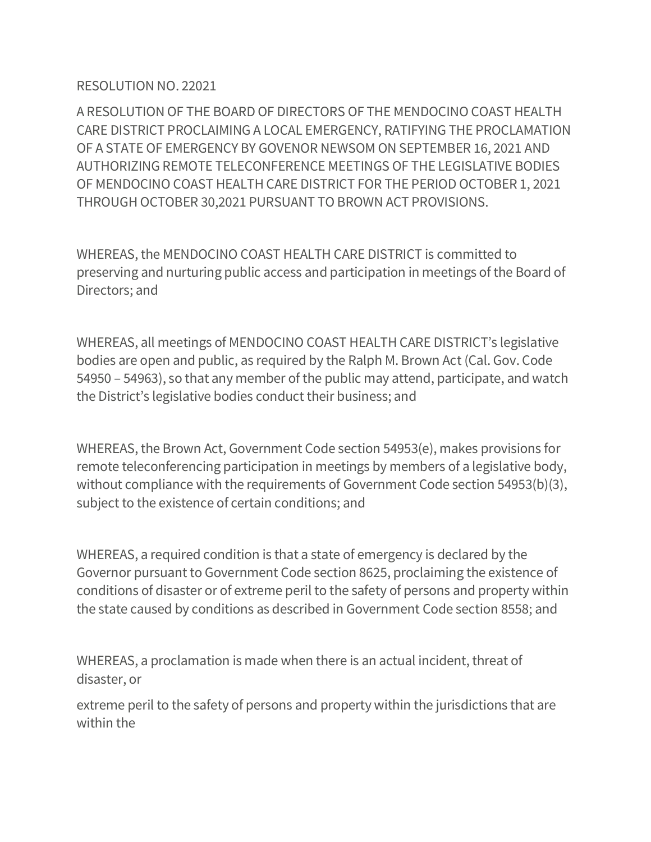## RESOLUTION NO. 22021

A RESOLUTION OF THE BOARD OF DIRECTORS OF THE MENDOCINO COAST HEALTH CARE DISTRICT PROCLAIMING A LOCAL EMERGENCY, RATIFYING THE PROCLAMATION OF A STATE OF EMERGENCY BY GOVENOR NEWSOM ON SEPTEMBER 16, 2021 AND AUTHORIZING REMOTE TELECONFERENCE MEETINGS OF THE LEGISLATIVE BODIES OF MENDOCINO COAST HEALTH CARE DISTRICT FOR THE PERIOD OCTOBER 1, 2021 THROUGH OCTOBER 30,2021 PURSUANT TO BROWN ACT PROVISIONS.

WHEREAS, the MENDOCINO COAST HEALTH CARE DISTRICT is committed to preserving and nurturing public access and participation in meetings of the Board of Directors; and

WHEREAS, all meetings of MENDOCINO COAST HEALTH CARE DISTRICT's legislative bodies are open and public, as required by the Ralph M. Brown Act (Cal. Gov. Code 54950 – 54963), so that any member of the public may attend, participate, and watch the District's legislative bodies conduct their business; and

WHEREAS, the Brown Act, Government Code section 54953(e), makes provisions for remote teleconferencing participation in meetings by members of a legislative body, without compliance with the requirements of Government Code section 54953(b)(3), subject to the existence of certain conditions; and

WHEREAS, a required condition is that a state of emergency is declared by the Governor pursuant to Government Code section 8625, proclaiming the existence of conditions of disaster or of extreme peril to the safety of persons and property within the state caused by conditions as described in Government Code section 8558; and

WHEREAS, a proclamation is made when there is an actual incident, threat of disaster, or

extreme peril to the safety of persons and property within the jurisdictions that are within the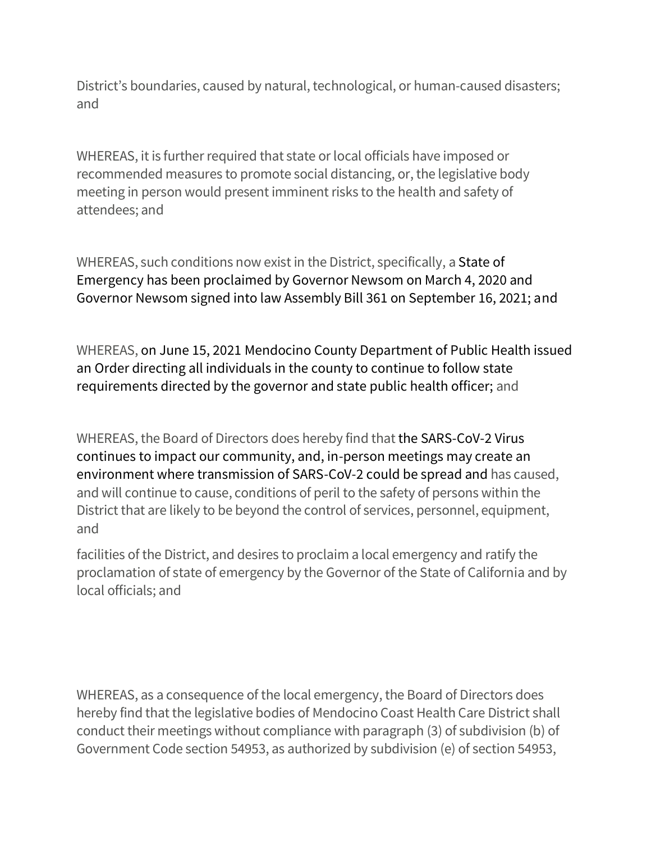District's boundaries, caused by natural, technological, or human-caused disasters; and

WHEREAS, it is further required that state or local officials have imposed or recommended measures to promote social distancing, or, the legislative body meeting in person would present imminent risks to the health and safety of attendees; and

WHEREAS, such conditions now exist in the District, specifically, a State of Emergency has been proclaimed by Governor Newsom on March 4, 2020 and Governor Newsom signed into law Assembly Bill 361 on September 16, 2021; and

WHEREAS, on June 15, 2021 Mendocino County Department of Public Health issued an Order directing all individuals in the county to continue to follow state requirements directed by the governor and state public health officer; and

WHEREAS, the Board of Directors does hereby find that the SARS-CoV-2 Virus continues to impact our community, and, in-person meetings may create an environment where transmission of SARS-CoV-2 could be spread and has caused, and will continue to cause, conditions of peril to the safety of persons within the District that are likely to be beyond the control of services, personnel, equipment, and

facilities of the District, and desires to proclaim a local emergency and ratify the proclamation of state of emergency by the Governor of the State of California and by local officials; and

WHEREAS, as a consequence of the local emergency, the Board of Directors does hereby find that the legislative bodies of Mendocino Coast Health Care District shall conduct their meetings without compliance with paragraph (3) of subdivision (b) of Government Code section 54953, as authorized by subdivision (e) of section 54953,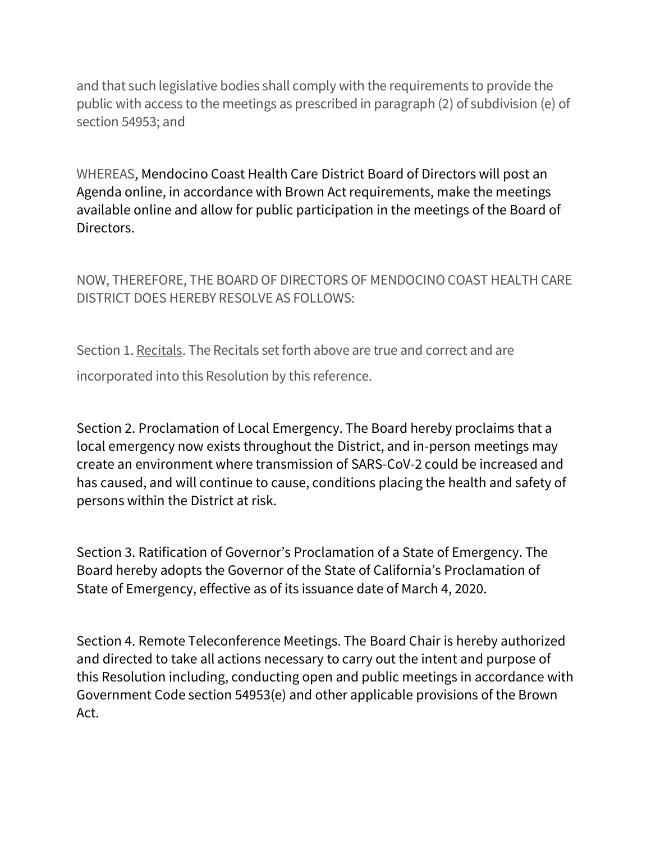and that such legislative bodies shall comply with the requirements to provide the public with access to the meetings as prescribed in paragraph (2) of subdivision (e) of section 54953; and

WHEREAS, Mendocino Coast Health Care District Board of Directors will post an Agenda online, in accordance with Brown Act requirements, make the meetings available online and allow for public participation in the meetings of the Board of Directors.

NOW, THEREFORE, THE BOARD OF DIRECTORS OF MENDOCINO COAST HEALTH CARE DISTRICT DOES HEREBY RESOLVE AS FOLLOWS:

Section 1. Recitals. The Recitals set forth above are true and correct and are incorporated into this Resolution by this reference.

Section 2. Proclamation of Local Emergency. The Board hereby proclaims that a local emergency now exists throughout the District, and in-person meetings may create an environment where transmission of SARS-CoV-2 could be increased and has caused, and will continue to cause, conditions placing the health and safety of persons within the District at risk.

Section 3. Ratification of Governor's Proclamation of a State of Emergency. The Board hereby adopts the Governor of the State of California's Proclamation of State of Emergency, effective as of its issuance date of March 4, 2020.

Section 4. Remote Teleconference Meetings. The Board Chair is hereby authorized and directed to take all actions necessary to carry out the intent and purpose of this Resolution including, conducting open and public meetings in accordance with Government Code section 54953(e) and other applicable provisions of the Brown Act.